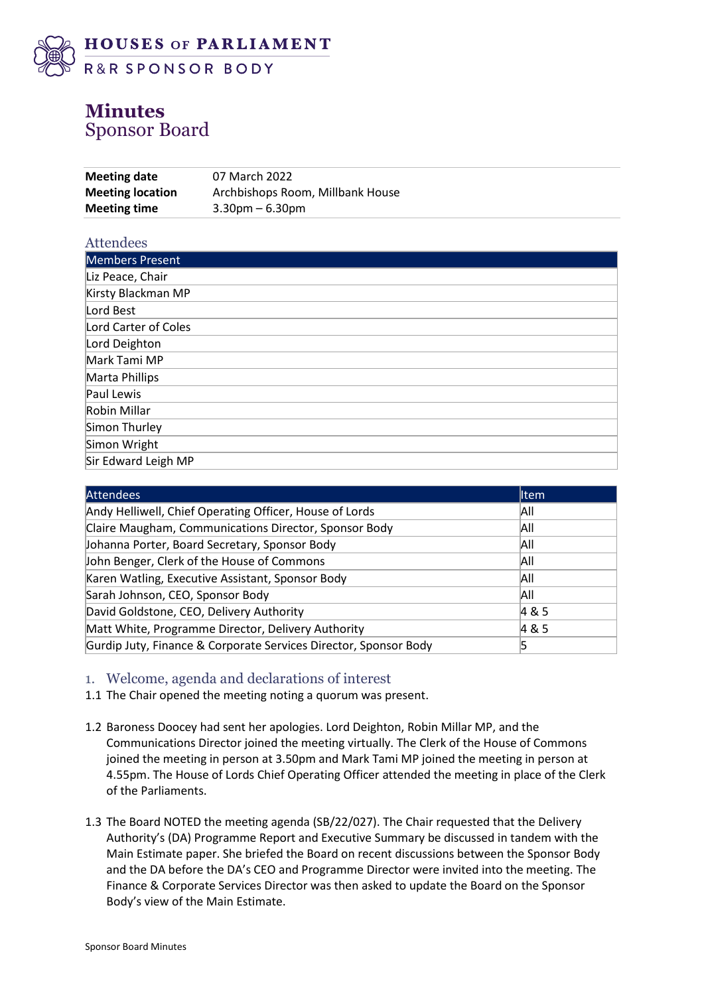

# **Minutes** Sponsor Board

| <b>Meeting date</b>     | 07 March 2022                    |
|-------------------------|----------------------------------|
| <b>Meeting location</b> | Archbishops Room, Millbank House |
| <b>Meeting time</b>     | $3.30$ pm – 6.30pm               |

| Attendees            |
|----------------------|
| Members Present      |
| Liz Peace, Chair     |
| Kirsty Blackman MP   |
| Lord Best            |
| Lord Carter of Coles |
| Lord Deighton        |
| Mark Tami MP         |
| Marta Phillips       |
| Paul Lewis           |
| Robin Millar         |
| Simon Thurley        |
| Simon Wright         |
| Sir Edward Leigh MP  |

| <b>Attendees</b>                                                 | <b>I</b> tem |
|------------------------------------------------------------------|--------------|
| Andy Helliwell, Chief Operating Officer, House of Lords          | All          |
| Claire Maugham, Communications Director, Sponsor Body            | All          |
| Johanna Porter, Board Secretary, Sponsor Body                    | All          |
| John Benger, Clerk of the House of Commons                       | All          |
| Karen Watling, Executive Assistant, Sponsor Body                 | All          |
| Sarah Johnson, CEO, Sponsor Body                                 | All          |
| David Goldstone, CEO, Delivery Authority                         | 4 & 5        |
| Matt White, Programme Director, Delivery Authority               | 4 & 5        |
| Gurdip Juty, Finance & Corporate Services Director, Sponsor Body | 5            |

#### 1. Welcome, agenda and declarations of interest

- 1.1 The Chair opened the meeting noting a quorum was present.
- 1.2 Baroness Doocey had sent her apologies. Lord Deighton, Robin Millar MP, and the Communications Director joined the meeting virtually. The Clerk of the House of Commons joined the meeting in person at 3.50pm and Mark Tami MP joined the meeting in person at 4.55pm. The House of Lords Chief Operating Officer attended the meeting in place of the Clerk of the Parliaments.
- 1.3 The Board NOTED the meeting agenda (SB/22/027). The Chair requested that the Delivery Authority's (DA) Programme Report and Executive Summary be discussed in tandem with the Main Estimate paper. She briefed the Board on recent discussions between the Sponsor Body and the DA before the DA's CEO and Programme Director were invited into the meeting. The Finance & Corporate Services Director was then asked to update the Board on the Sponsor Body's view of the Main Estimate.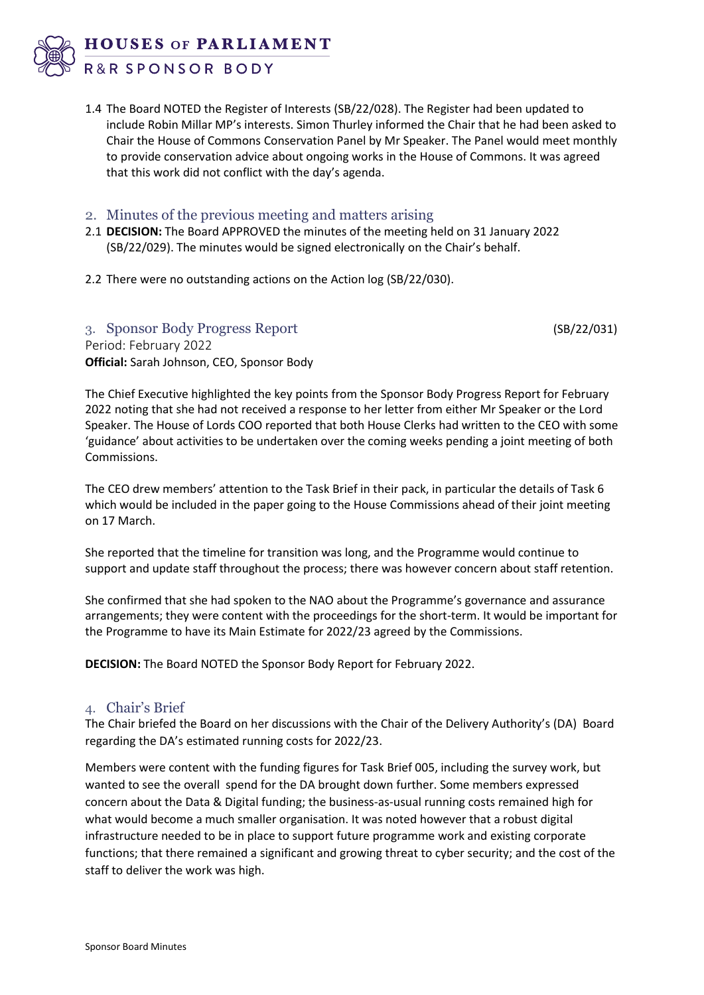

R&R SPONSOR BODY

1.4 The Board NOTED the Register of Interests (SB/22/028). The Register had been updated to include Robin Millar MP's interests. Simon Thurley informed the Chair that he had been asked to Chair the House of Commons Conservation Panel by Mr Speaker. The Panel would meet monthly to provide conservation advice about ongoing works in the House of Commons. It was agreed that this work did not conflict with the day's agenda.

## 2. Minutes of the previous meeting and matters arising

- 2.1 **DECISION:** The Board APPROVED the minutes of the meeting held on 31 January 2022 (SB/22/029). The minutes would be signed electronically on the Chair's behalf.
- 2.2 There were no outstanding actions on the Action log (SB/22/030).

3. Sponsor Body Progress Report (SB/22/031) Period: February 2022 **Official:** Sarah Johnson, CEO, Sponsor Body

The Chief Executive highlighted the key points from the Sponsor Body Progress Report for February 2022 noting that she had not received a response to her letter from either Mr Speaker or the Lord Speaker. The House of Lords COO reported that both House Clerks had written to the CEO with some 'guidance' about activities to be undertaken over the coming weeks pending a joint meeting of both Commissions.

The CEO drew members' attention to the Task Brief in their pack, in particular the details of Task 6 which would be included in the paper going to the House Commissions ahead of their joint meeting on 17 March.

She reported that the timeline for transition was long, and the Programme would continue to support and update staff throughout the process; there was however concern about staff retention.

She confirmed that she had spoken to the NAO about the Programme's governance and assurance arrangements; they were content with the proceedings for the short-term. It would be important for the Programme to have its Main Estimate for 2022/23 agreed by the Commissions.

**DECISION:** The Board NOTED the Sponsor Body Report for February 2022.

#### 4. Chair's Brief

The Chair briefed the Board on her discussions with the Chair of the Delivery Authority's (DA) Board regarding the DA's estimated running costs for 2022/23.

Members were content with the funding figures for Task Brief 005, including the survey work, but wanted to see the overall spend for the DA brought down further. Some members expressed concern about the Data & Digital funding; the business-as-usual running costs remained high for what would become a much smaller organisation. It was noted however that a robust digital infrastructure needed to be in place to support future programme work and existing corporate functions; that there remained a significant and growing threat to cyber security; and the cost of the staff to deliver the work was high.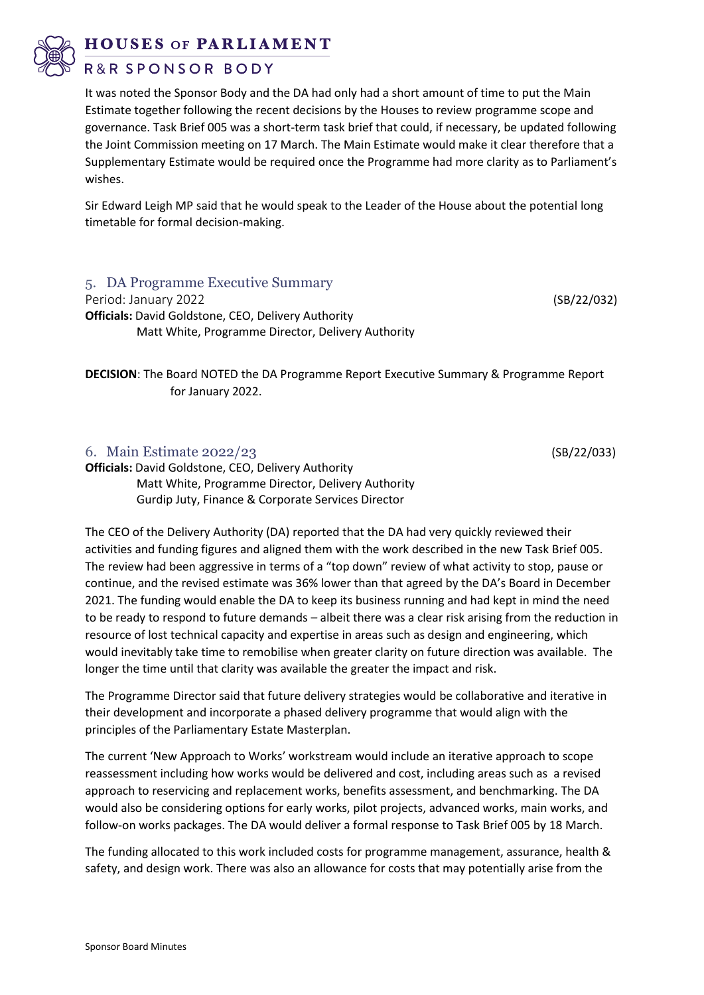**HOUSES OF PARLIAMENT** 

R&R SPONSOR BODY

It was noted the Sponsor Body and the DA had only had a short amount of time to put the Main Estimate together following the recent decisions by the Houses to review programme scope and governance. Task Brief 005 was a short-term task brief that could, if necessary, be updated following the Joint Commission meeting on 17 March. The Main Estimate would make it clear therefore that a Supplementary Estimate would be required once the Programme had more clarity as to Parliament's wishes.

Sir Edward Leigh MP said that he would speak to the Leader of the House about the potential long timetable for formal decision-making.

# 5. DA Programme Executive Summary

Period: January 2022 **(SB/22/032)** (SB/22/032) **Officials:** David Goldstone, CEO, Delivery Authority

Matt White, Programme Director, Delivery Authority

**DECISION**: The Board NOTED the DA Programme Report Executive Summary & Programme Report for January 2022.

#### 6. Main Estimate 2022/23 (SB/22/033)

**Officials:** David Goldstone, CEO, Delivery Authority Matt White, Programme Director, Delivery Authority Gurdip Juty, Finance & Corporate Services Director

The CEO of the Delivery Authority (DA) reported that the DA had very quickly reviewed their activities and funding figures and aligned them with the work described in the new Task Brief 005. The review had been aggressive in terms of a "top down" review of what activity to stop, pause or continue, and the revised estimate was 36% lower than that agreed by the DA's Board in December 2021. The funding would enable the DA to keep its business running and had kept in mind the need to be ready to respond to future demands – albeit there was a clear risk arising from the reduction in resource of lost technical capacity and expertise in areas such as design and engineering, which would inevitably take time to remobilise when greater clarity on future direction was available. The longer the time until that clarity was available the greater the impact and risk.

The Programme Director said that future delivery strategies would be collaborative and iterative in their development and incorporate a phased delivery programme that would align with the principles of the Parliamentary Estate Masterplan.

The current 'New Approach to Works' workstream would include an iterative approach to scope reassessment including how works would be delivered and cost, including areas such as a revised approach to reservicing and replacement works, benefits assessment, and benchmarking. The DA would also be considering options for early works, pilot projects, advanced works, main works, and follow-on works packages. The DA would deliver a formal response to Task Brief 005 by 18 March.

The funding allocated to this work included costs for programme management, assurance, health & safety, and design work. There was also an allowance for costs that may potentially arise from the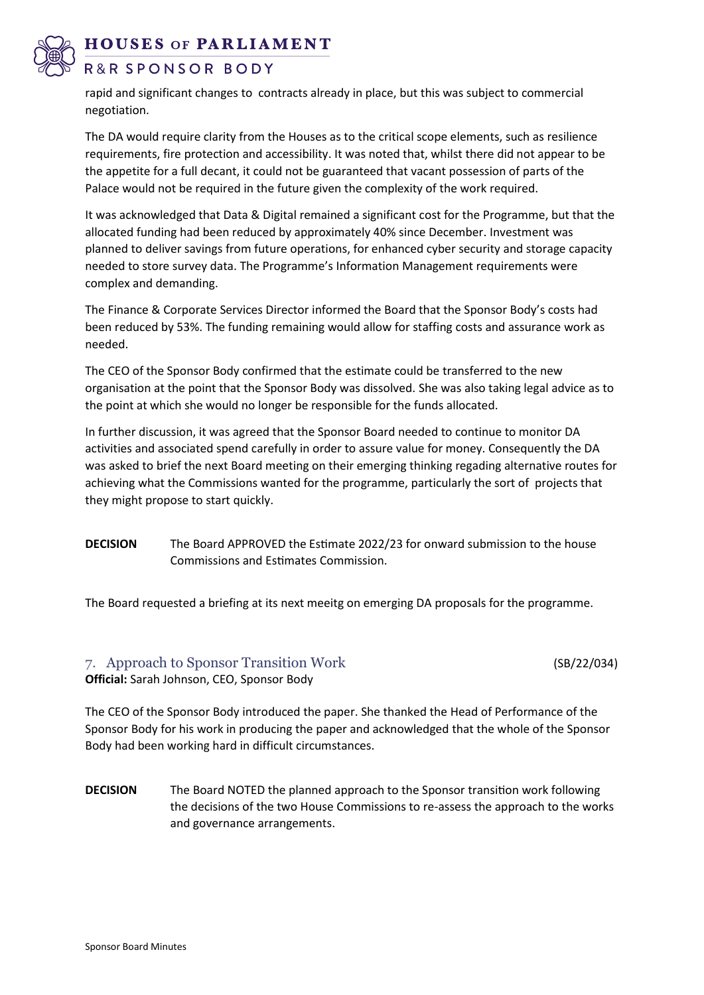**HOUSES OF PARLIAMENT** 

# R&R SPONSOR BODY

rapid and significant changes to contracts already in place, but this was subject to commercial negotiation.

The DA would require clarity from the Houses as to the critical scope elements, such as resilience requirements, fire protection and accessibility. It was noted that, whilst there did not appear to be the appetite for a full decant, it could not be guaranteed that vacant possession of parts of the Palace would not be required in the future given the complexity of the work required.

It was acknowledged that Data & Digital remained a significant cost for the Programme, but that the allocated funding had been reduced by approximately 40% since December. Investment was planned to deliver savings from future operations, for enhanced cyber security and storage capacity needed to store survey data. The Programme's Information Management requirements were complex and demanding.

The Finance & Corporate Services Director informed the Board that the Sponsor Body's costs had been reduced by 53%. The funding remaining would allow for staffing costs and assurance work as needed.

The CEO of the Sponsor Body confirmed that the estimate could be transferred to the new organisation at the point that the Sponsor Body was dissolved. She was also taking legal advice as to the point at which she would no longer be responsible for the funds allocated.

In further discussion, it was agreed that the Sponsor Board needed to continue to monitor DA activities and associated spend carefully in order to assure value for money. Consequently the DA was asked to brief the next Board meeting on their emerging thinking regading alternative routes for achieving what the Commissions wanted for the programme, particularly the sort of projects that they might propose to start quickly.

**DECISION** The Board APPROVED the Estimate 2022/23 for onward submission to the house Commissions and Estimates Commission.

The Board requested a briefing at its next meeitg on emerging DA proposals for the programme.

## 7. Approach to Sponsor Transition Work (SB/22/034) **Official:** Sarah Johnson, CEO, Sponsor Body

The CEO of the Sponsor Body introduced the paper. She thanked the Head of Performance of the Sponsor Body for his work in producing the paper and acknowledged that the whole of the Sponsor Body had been working hard in difficult circumstances.

**DECISION** The Board NOTED the planned approach to the Sponsor transition work following the decisions of the two House Commissions to re-assess the approach to the works and governance arrangements.